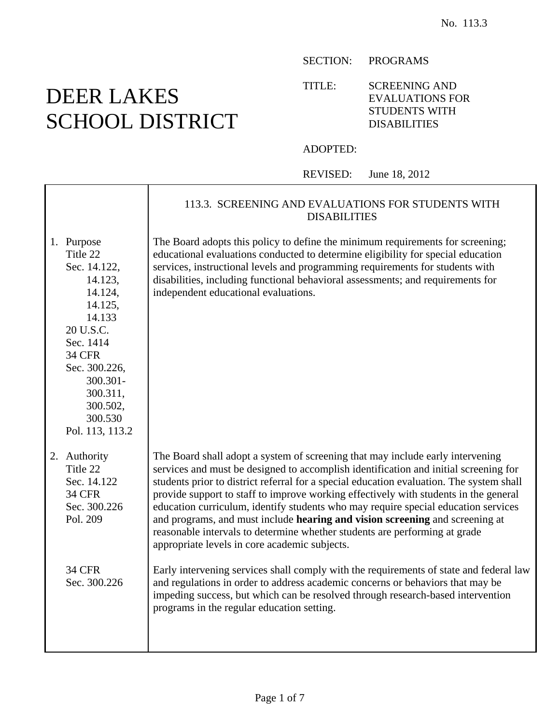SECTION: PROGRAMS

TITLE: SCREENING AND EVALUATIONS FOR STUDENTS WITH DISABILITIES

## ADOPTED:

REVISED: June 18, 2012

|                                                                                                                                                                                                                 | 113.3. SCREENING AND EVALUATIONS FOR STUDENTS WITH<br><b>DISABILITIES</b>                                                                                                                                                                                                                                                                                                                                                                                                                                                                                                                                                                                       |
|-----------------------------------------------------------------------------------------------------------------------------------------------------------------------------------------------------------------|-----------------------------------------------------------------------------------------------------------------------------------------------------------------------------------------------------------------------------------------------------------------------------------------------------------------------------------------------------------------------------------------------------------------------------------------------------------------------------------------------------------------------------------------------------------------------------------------------------------------------------------------------------------------|
| 1. Purpose<br>Title 22<br>Sec. 14.122,<br>14.123,<br>14.124,<br>14.125,<br>14.133<br>20 U.S.C.<br>Sec. 1414<br><b>34 CFR</b><br>Sec. 300.226,<br>300.301-<br>300.311,<br>300.502,<br>300.530<br>Pol. 113, 113.2 | The Board adopts this policy to define the minimum requirements for screening;<br>educational evaluations conducted to determine eligibility for special education<br>services, instructional levels and programming requirements for students with<br>disabilities, including functional behavioral assessments; and requirements for<br>independent educational evaluations.                                                                                                                                                                                                                                                                                  |
| 2. Authority<br>Title 22<br>Sec. 14.122<br><b>34 CFR</b><br>Sec. 300.226<br>Pol. 209                                                                                                                            | The Board shall adopt a system of screening that may include early intervening<br>services and must be designed to accomplish identification and initial screening for<br>students prior to district referral for a special education evaluation. The system shall<br>provide support to staff to improve working effectively with students in the general<br>education curriculum, identify students who may require special education services<br>and programs, and must include hearing and vision screening and screening at<br>reasonable intervals to determine whether students are performing at grade<br>appropriate levels in core academic subjects. |
| <b>34 CFR</b><br>Sec. 300.226                                                                                                                                                                                   | Early intervening services shall comply with the requirements of state and federal law<br>and regulations in order to address academic concerns or behaviors that may be<br>impeding success, but which can be resolved through research-based intervention<br>programs in the regular education setting.                                                                                                                                                                                                                                                                                                                                                       |

## DEER LAKES SCHOOL DISTRICT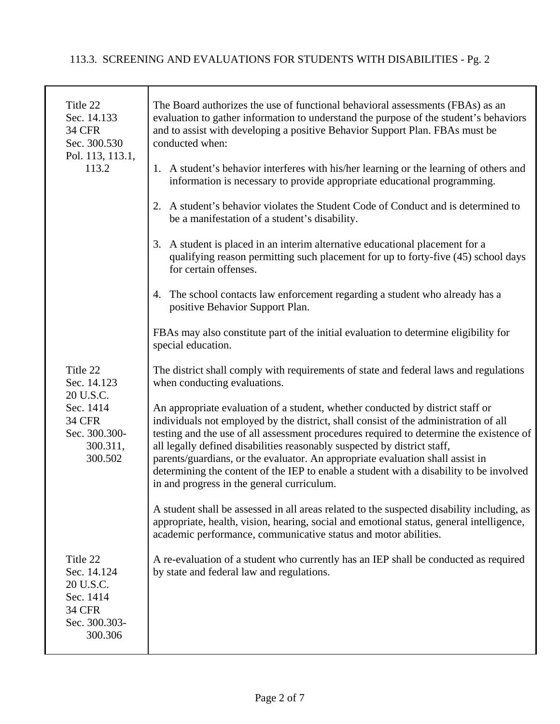## 113.3. SCREENING AND EVALUATIONS FOR STUDENTS WITH DISABILITIES - Pg. 2

| Title 22<br>Sec. 14.133<br><b>34 CFR</b><br>Sec. 300.530<br>Pol. 113, 113.1,<br>113.2          | The Board authorizes the use of functional behavioral assessments (FBAs) as an<br>evaluation to gather information to understand the purpose of the student's behaviors<br>and to assist with developing a positive Behavior Support Plan. FBAs must be<br>conducted when:<br>1. A student's behavior interferes with his/her learning or the learning of others and<br>information is necessary to provide appropriate educational programming.                                                                                                                         |
|------------------------------------------------------------------------------------------------|--------------------------------------------------------------------------------------------------------------------------------------------------------------------------------------------------------------------------------------------------------------------------------------------------------------------------------------------------------------------------------------------------------------------------------------------------------------------------------------------------------------------------------------------------------------------------|
|                                                                                                | 2. A student's behavior violates the Student Code of Conduct and is determined to<br>be a manifestation of a student's disability.                                                                                                                                                                                                                                                                                                                                                                                                                                       |
|                                                                                                | 3. A student is placed in an interim alternative educational placement for a<br>qualifying reason permitting such placement for up to forty-five (45) school days<br>for certain offenses.                                                                                                                                                                                                                                                                                                                                                                               |
|                                                                                                | 4. The school contacts law enforcement regarding a student who already has a<br>positive Behavior Support Plan.                                                                                                                                                                                                                                                                                                                                                                                                                                                          |
|                                                                                                | FBAs may also constitute part of the initial evaluation to determine eligibility for<br>special education.                                                                                                                                                                                                                                                                                                                                                                                                                                                               |
| Title 22<br>Sec. 14.123<br>20 U.S.C.                                                           | The district shall comply with requirements of state and federal laws and regulations<br>when conducting evaluations.                                                                                                                                                                                                                                                                                                                                                                                                                                                    |
| Sec. 1414<br><b>34 CFR</b><br>Sec. 300.300-<br>300.311,<br>300.502                             | An appropriate evaluation of a student, whether conducted by district staff or<br>individuals not employed by the district, shall consist of the administration of all<br>testing and the use of all assessment procedures required to determine the existence of<br>all legally defined disabilities reasonably suspected by district staff,<br>parents/guardians, or the evaluator. An appropriate evaluation shall assist in<br>determining the content of the IEP to enable a student with a disability to be involved<br>in and progress in the general curriculum. |
|                                                                                                | A student shall be assessed in all areas related to the suspected disability including, as<br>appropriate, health, vision, hearing, social and emotional status, general intelligence,<br>academic performance, communicative status and motor abilities.                                                                                                                                                                                                                                                                                                                |
| Title 22<br>Sec. 14.124<br>20 U.S.C.<br>Sec. 1414<br><b>34 CFR</b><br>Sec. 300.303-<br>300.306 | A re-evaluation of a student who currently has an IEP shall be conducted as required<br>by state and federal law and regulations.                                                                                                                                                                                                                                                                                                                                                                                                                                        |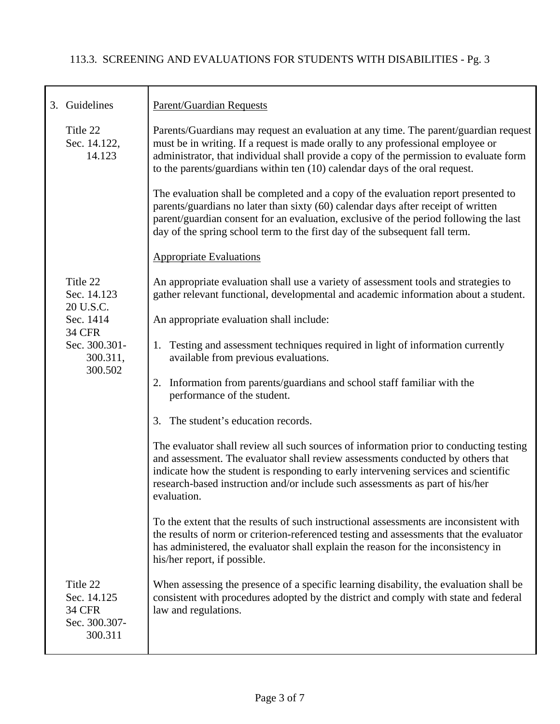| 3. Guidelines                                                        | <b>Parent/Guardian Requests</b>                                                                                                                                                                                                                                                                                                                                  |
|----------------------------------------------------------------------|------------------------------------------------------------------------------------------------------------------------------------------------------------------------------------------------------------------------------------------------------------------------------------------------------------------------------------------------------------------|
| Title 22<br>Sec. 14.122,<br>14.123                                   | Parents/Guardians may request an evaluation at any time. The parent/guardian request<br>must be in writing. If a request is made orally to any professional employee or<br>administrator, that individual shall provide a copy of the permission to evaluate form<br>to the parents/guardians within ten (10) calendar days of the oral request.                 |
|                                                                      | The evaluation shall be completed and a copy of the evaluation report presented to<br>parents/guardians no later than sixty (60) calendar days after receipt of written<br>parent/guardian consent for an evaluation, exclusive of the period following the last<br>day of the spring school term to the first day of the subsequent fall term.                  |
|                                                                      | <b>Appropriate Evaluations</b>                                                                                                                                                                                                                                                                                                                                   |
| Title 22<br>Sec. 14.123<br>20 U.S.C.                                 | An appropriate evaluation shall use a variety of assessment tools and strategies to<br>gather relevant functional, developmental and academic information about a student.                                                                                                                                                                                       |
| Sec. 1414<br><b>34 CFR</b>                                           | An appropriate evaluation shall include:                                                                                                                                                                                                                                                                                                                         |
| Sec. 300.301-<br>300.311,<br>300.502                                 | Testing and assessment techniques required in light of information currently<br>1.<br>available from previous evaluations.                                                                                                                                                                                                                                       |
|                                                                      | 2. Information from parents/guardians and school staff familiar with the<br>performance of the student.                                                                                                                                                                                                                                                          |
|                                                                      | 3. The student's education records.                                                                                                                                                                                                                                                                                                                              |
|                                                                      | The evaluator shall review all such sources of information prior to conducting testing<br>and assessment. The evaluator shall review assessments conducted by others that<br>indicate how the student is responding to early intervening services and scientific<br>research-based instruction and/or include such assessments as part of his/her<br>evaluation. |
|                                                                      | To the extent that the results of such instructional assessments are inconsistent with<br>the results of norm or criterion-referenced testing and assessments that the evaluator<br>has administered, the evaluator shall explain the reason for the inconsistency in<br>his/her report, if possible.                                                            |
| Title 22<br>Sec. 14.125<br><b>34 CFR</b><br>Sec. 300.307-<br>300.311 | When assessing the presence of a specific learning disability, the evaluation shall be<br>consistent with procedures adopted by the district and comply with state and federal<br>law and regulations.                                                                                                                                                           |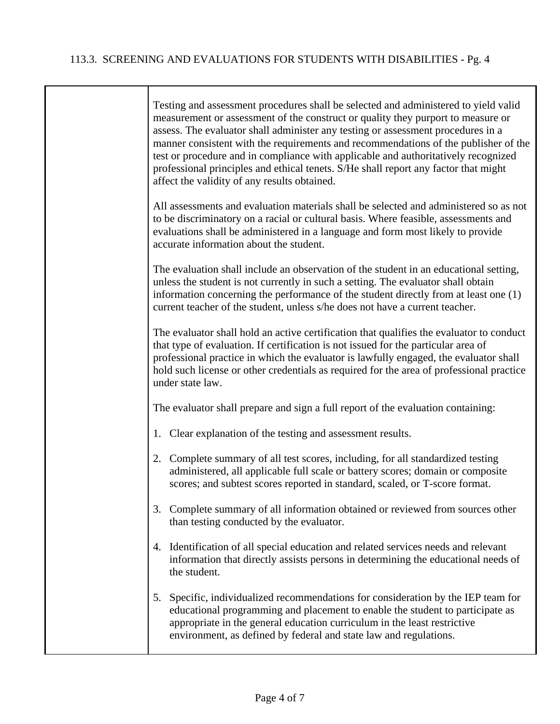$\mathbf{I}$ 

| Testing and assessment procedures shall be selected and administered to yield valid<br>measurement or assessment of the construct or quality they purport to measure or<br>assess. The evaluator shall administer any testing or assessment procedures in a<br>manner consistent with the requirements and recommendations of the publisher of the<br>test or procedure and in compliance with applicable and authoritatively recognized<br>professional principles and ethical tenets. S/He shall report any factor that might<br>affect the validity of any results obtained. |
|---------------------------------------------------------------------------------------------------------------------------------------------------------------------------------------------------------------------------------------------------------------------------------------------------------------------------------------------------------------------------------------------------------------------------------------------------------------------------------------------------------------------------------------------------------------------------------|
| All assessments and evaluation materials shall be selected and administered so as not<br>to be discriminatory on a racial or cultural basis. Where feasible, assessments and<br>evaluations shall be administered in a language and form most likely to provide<br>accurate information about the student.                                                                                                                                                                                                                                                                      |
| The evaluation shall include an observation of the student in an educational setting,<br>unless the student is not currently in such a setting. The evaluator shall obtain<br>information concerning the performance of the student directly from at least one (1)<br>current teacher of the student, unless s/he does not have a current teacher.                                                                                                                                                                                                                              |
| The evaluator shall hold an active certification that qualifies the evaluator to conduct<br>that type of evaluation. If certification is not issued for the particular area of<br>professional practice in which the evaluator is lawfully engaged, the evaluator shall<br>hold such license or other credentials as required for the area of professional practice<br>under state law.                                                                                                                                                                                         |
| The evaluator shall prepare and sign a full report of the evaluation containing:                                                                                                                                                                                                                                                                                                                                                                                                                                                                                                |
| 1. Clear explanation of the testing and assessment results.                                                                                                                                                                                                                                                                                                                                                                                                                                                                                                                     |
| 2. Complete summary of all test scores, including, for all standardized testing<br>administered, all applicable full scale or battery scores; domain or composite<br>scores; and subtest scores reported in standard, scaled, or T-score format.                                                                                                                                                                                                                                                                                                                                |
| 3. Complete summary of all information obtained or reviewed from sources other<br>than testing conducted by the evaluator.                                                                                                                                                                                                                                                                                                                                                                                                                                                      |
| 4. Identification of all special education and related services needs and relevant<br>information that directly assists persons in determining the educational needs of<br>the student.                                                                                                                                                                                                                                                                                                                                                                                         |
| 5. Specific, individualized recommendations for consideration by the IEP team for<br>educational programming and placement to enable the student to participate as<br>appropriate in the general education curriculum in the least restrictive<br>environment, as defined by federal and state law and regulations.                                                                                                                                                                                                                                                             |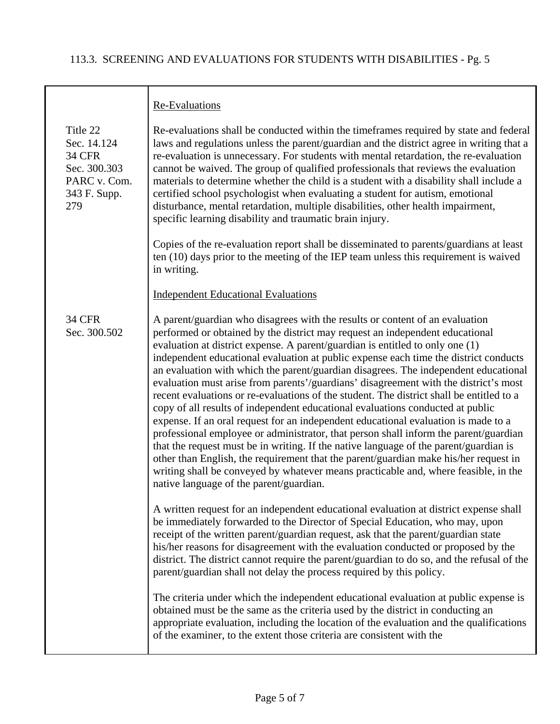|                                                                                                 | Re-Evaluations                                                                                                                                                                                                                                                                                                                                                                                                                                                                                                                                                                                                                                                                                                                                                                                                                                                                                                                                                                                                                                                                                                                                                                                      |
|-------------------------------------------------------------------------------------------------|-----------------------------------------------------------------------------------------------------------------------------------------------------------------------------------------------------------------------------------------------------------------------------------------------------------------------------------------------------------------------------------------------------------------------------------------------------------------------------------------------------------------------------------------------------------------------------------------------------------------------------------------------------------------------------------------------------------------------------------------------------------------------------------------------------------------------------------------------------------------------------------------------------------------------------------------------------------------------------------------------------------------------------------------------------------------------------------------------------------------------------------------------------------------------------------------------------|
| Title 22<br>Sec. 14.124<br><b>34 CFR</b><br>Sec. 300.303<br>PARC v. Com.<br>343 F. Supp.<br>279 | Re-evaluations shall be conducted within the timeframes required by state and federal<br>laws and regulations unless the parent/guardian and the district agree in writing that a<br>re-evaluation is unnecessary. For students with mental retardation, the re-evaluation<br>cannot be waived. The group of qualified professionals that reviews the evaluation<br>materials to determine whether the child is a student with a disability shall include a<br>certified school psychologist when evaluating a student for autism, emotional<br>disturbance, mental retardation, multiple disabilities, other health impairment,<br>specific learning disability and traumatic brain injury.                                                                                                                                                                                                                                                                                                                                                                                                                                                                                                        |
|                                                                                                 | Copies of the re-evaluation report shall be disseminated to parents/guardians at least<br>ten $(10)$ days prior to the meeting of the IEP team unless this requirement is waived<br>in writing.                                                                                                                                                                                                                                                                                                                                                                                                                                                                                                                                                                                                                                                                                                                                                                                                                                                                                                                                                                                                     |
|                                                                                                 | <b>Independent Educational Evaluations</b>                                                                                                                                                                                                                                                                                                                                                                                                                                                                                                                                                                                                                                                                                                                                                                                                                                                                                                                                                                                                                                                                                                                                                          |
| <b>34 CFR</b><br>Sec. 300.502                                                                   | A parent/guardian who disagrees with the results or content of an evaluation<br>performed or obtained by the district may request an independent educational<br>evaluation at district expense. A parent/guardian is entitled to only one (1)<br>independent educational evaluation at public expense each time the district conducts<br>an evaluation with which the parent/guardian disagrees. The independent educational<br>evaluation must arise from parents'/guardians' disagreement with the district's most<br>recent evaluations or re-evaluations of the student. The district shall be entitled to a<br>copy of all results of independent educational evaluations conducted at public<br>expense. If an oral request for an independent educational evaluation is made to a<br>professional employee or administrator, that person shall inform the parent/guardian<br>that the request must be in writing. If the native language of the parent/guardian is<br>other than English, the requirement that the parent/guardian make his/her request in<br>writing shall be conveyed by whatever means practicable and, where feasible, in the<br>native language of the parent/guardian. |
|                                                                                                 | A written request for an independent educational evaluation at district expense shall<br>be immediately forwarded to the Director of Special Education, who may, upon<br>receipt of the written parent/guardian request, ask that the parent/guardian state<br>his/her reasons for disagreement with the evaluation conducted or proposed by the<br>district. The district cannot require the parent/guardian to do so, and the refusal of the<br>parent/guardian shall not delay the process required by this policy.                                                                                                                                                                                                                                                                                                                                                                                                                                                                                                                                                                                                                                                                              |
|                                                                                                 | The criteria under which the independent educational evaluation at public expense is<br>obtained must be the same as the criteria used by the district in conducting an<br>appropriate evaluation, including the location of the evaluation and the qualifications<br>of the examiner, to the extent those criteria are consistent with the                                                                                                                                                                                                                                                                                                                                                                                                                                                                                                                                                                                                                                                                                                                                                                                                                                                         |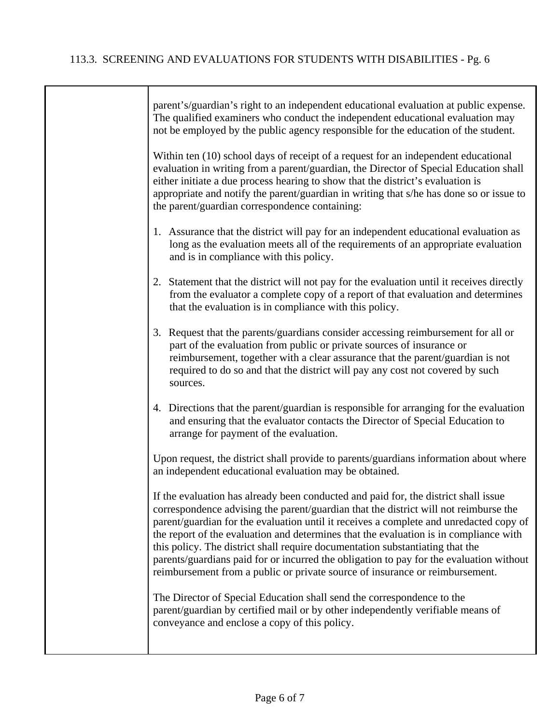| parent's/guardian's right to an independent educational evaluation at public expense.<br>The qualified examiners who conduct the independent educational evaluation may<br>not be employed by the public agency responsible for the education of the student.                                                                                                                                                                                                                                                                                                                                                              |
|----------------------------------------------------------------------------------------------------------------------------------------------------------------------------------------------------------------------------------------------------------------------------------------------------------------------------------------------------------------------------------------------------------------------------------------------------------------------------------------------------------------------------------------------------------------------------------------------------------------------------|
| Within ten (10) school days of receipt of a request for an independent educational<br>evaluation in writing from a parent/guardian, the Director of Special Education shall<br>either initiate a due process hearing to show that the district's evaluation is<br>appropriate and notify the parent/guardian in writing that s/he has done so or issue to<br>the parent/guardian correspondence containing:                                                                                                                                                                                                                |
| 1. Assurance that the district will pay for an independent educational evaluation as<br>long as the evaluation meets all of the requirements of an appropriate evaluation<br>and is in compliance with this policy.                                                                                                                                                                                                                                                                                                                                                                                                        |
| 2. Statement that the district will not pay for the evaluation until it receives directly<br>from the evaluator a complete copy of a report of that evaluation and determines<br>that the evaluation is in compliance with this policy.                                                                                                                                                                                                                                                                                                                                                                                    |
| 3. Request that the parents/guardians consider accessing reimbursement for all or<br>part of the evaluation from public or private sources of insurance or<br>reimbursement, together with a clear assurance that the parent/guardian is not<br>required to do so and that the district will pay any cost not covered by such<br>sources.                                                                                                                                                                                                                                                                                  |
| 4. Directions that the parent/guardian is responsible for arranging for the evaluation<br>and ensuring that the evaluator contacts the Director of Special Education to<br>arrange for payment of the evaluation.                                                                                                                                                                                                                                                                                                                                                                                                          |
| Upon request, the district shall provide to parents/guardians information about where<br>an independent educational evaluation may be obtained.                                                                                                                                                                                                                                                                                                                                                                                                                                                                            |
| If the evaluation has already been conducted and paid for, the district shall issue<br>correspondence advising the parent/guardian that the district will not reimburse the<br>parent/guardian for the evaluation until it receives a complete and unredacted copy of<br>the report of the evaluation and determines that the evaluation is in compliance with<br>this policy. The district shall require documentation substantiating that the<br>parents/guardians paid for or incurred the obligation to pay for the evaluation without<br>reimbursement from a public or private source of insurance or reimbursement. |
| The Director of Special Education shall send the correspondence to the<br>parent/guardian by certified mail or by other independently verifiable means of<br>conveyance and enclose a copy of this policy.                                                                                                                                                                                                                                                                                                                                                                                                                 |
|                                                                                                                                                                                                                                                                                                                                                                                                                                                                                                                                                                                                                            |